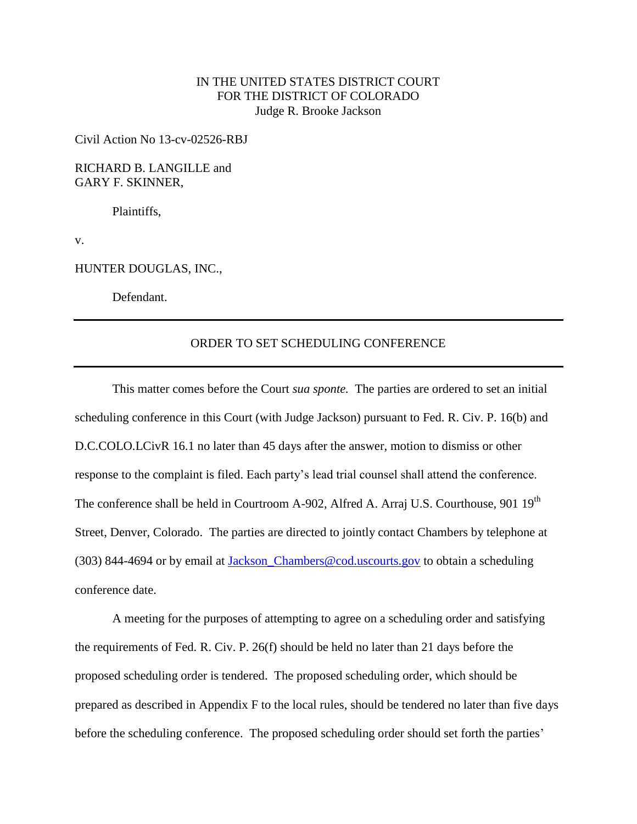## IN THE UNITED STATES DISTRICT COURT FOR THE DISTRICT OF COLORADO Judge R. Brooke Jackson

Civil Action No 13-cv-02526-RBJ

RICHARD B. LANGILLE and GARY F. SKINNER,

Plaintiffs,

v.

HUNTER DOUGLAS, INC.,

Defendant.

## ORDER TO SET SCHEDULING CONFERENCE

This matter comes before the Court *sua sponte.* The parties are ordered to set an initial scheduling conference in this Court (with Judge Jackson) pursuant to Fed. R. Civ. P. 16(b) and D.C.COLO.LCivR 16.1 no later than 45 days after the answer, motion to dismiss or other response to the complaint is filed. Each party's lead trial counsel shall attend the conference. The conference shall be held in Courtroom A-902, Alfred A. Arraj U.S. Courthouse, 901 19<sup>th</sup> Street, Denver, Colorado. The parties are directed to jointly contact Chambers by telephone at (303) 844-4694 or by email at [Jackson\\_Chambers@cod.uscourts.gov](mailto:Jackson_Chambers@cod.uscourts.gov) to obtain a scheduling conference date.

A meeting for the purposes of attempting to agree on a scheduling order and satisfying the requirements of Fed. R. Civ. P. 26(f) should be held no later than 21 days before the proposed scheduling order is tendered. The proposed scheduling order, which should be prepared as described in Appendix F to the local rules, should be tendered no later than five days before the scheduling conference. The proposed scheduling order should set forth the parties'